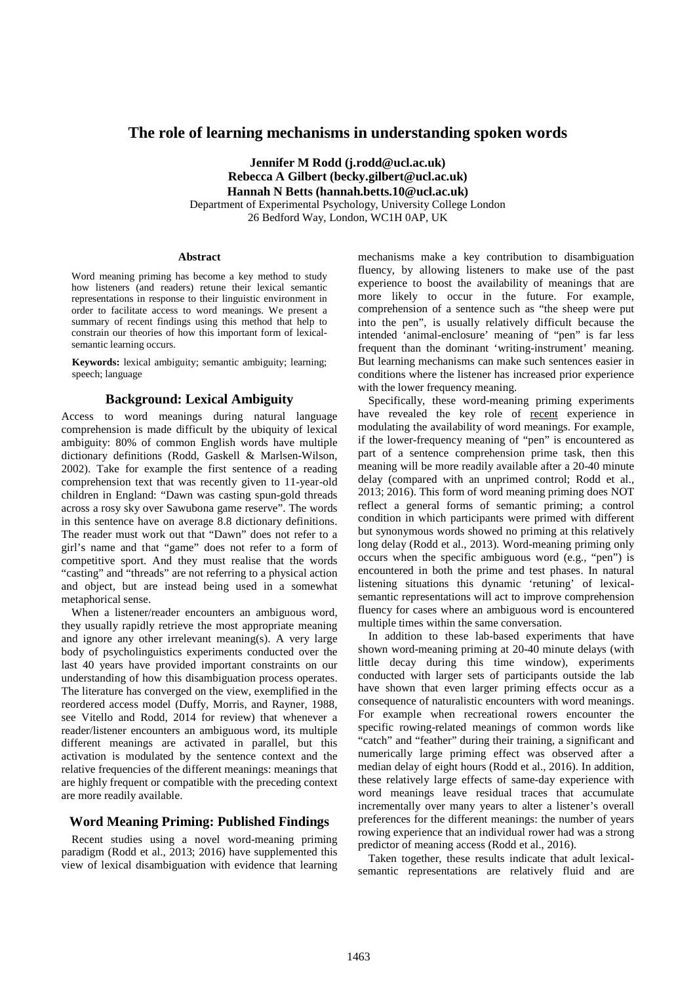# **The role of learning mechanisms in understanding spoken words**

**Jennifer M Rodd (j.rodd@ucl.ac.uk) Rebecca A Gilbert (becky.gilbert@ucl.ac.uk) Hannah N Betts (hannah.betts.10@ucl.ac.uk)** Department of Experimental Psychology, University College London 26 Bedford Way, London, WC1H 0AP, UK

#### **Abstract**

Word meaning priming has become a key method to study how listeners (and readers) retune their lexical semantic representations in response to their linguistic environment in order to facilitate access to word meanings. We present a summary of recent findings using this method that help to constrain our theories of how this important form of lexicalsemantic learning occurs.

**Keywords:** lexical ambiguity; semantic ambiguity; learning; speech; language

# **Background: Lexical Ambiguity**

Access to word meanings during natural language comprehension is made difficult by the ubiquity of lexical ambiguity: 80% of common English words have multiple dictionary definitions (Rodd, Gaskell & Marlsen-Wilson, 2002). Take for example the first sentence of a reading comprehension text that was recently given to 11-year-old children in England: "Dawn was casting spun-gold threads across a rosy sky over Sawubona game reserve". The words in this sentence have on average 8.8 dictionary definitions. The reader must work out that "Dawn" does not refer to a girl's name and that "game" does not refer to a form of competitive sport. And they must realise that the words "casting" and "threads" are not referring to a physical action and object, but are instead being used in a somewhat metaphorical sense.

When a listener/reader encounters an ambiguous word, they usually rapidly retrieve the most appropriate meaning and ignore any other irrelevant meaning(s). A very large body of psycholinguistics experiments conducted over the last 40 years have provided important constraints on our understanding of how this disambiguation process operates. The literature has converged on the view, exemplified in the reordered access model (Duffy, Morris, and Rayner, 1988, see Vitello and Rodd, 2014 for review) that whenever a reader/listener encounters an ambiguous word, its multiple different meanings are activated in parallel, but this activation is modulated by the sentence context and the relative frequencies of the different meanings: meanings that are highly frequent or compatible with the preceding context are more readily available.

# **Word Meaning Priming: Published Findings**

Recent studies using a novel word-meaning priming paradigm (Rodd et al., 2013; 2016) have supplemented this view of lexical disambiguation with evidence that learning mechanisms make a key contribution to disambiguation fluency, by allowing listeners to make use of the past experience to boost the availability of meanings that are more likely to occur in the future. For example, comprehension of a sentence such as "the sheep were put into the pen", is usually relatively difficult because the intended 'animal-enclosure' meaning of "pen" is far less frequent than the dominant 'writing-instrument' meaning. But learning mechanisms can make such sentences easier in conditions where the listener has increased prior experience with the lower frequency meaning.

Specifically, these word-meaning priming experiments have revealed the key role of recent experience in modulating the availability of word meanings. For example, if the lower-frequency meaning of "pen" is encountered as part of a sentence comprehension prime task, then this meaning will be more readily available after a 20-40 minute delay (compared with an unprimed control; Rodd et al., 2013; 2016). This form of word meaning priming does NOT reflect a general forms of semantic priming; a control condition in which participants were primed with different but synonymous words showed no priming at this relatively long delay (Rodd et al., 2013). Word-meaning priming only occurs when the specific ambiguous word (e.g., "pen") is encountered in both the prime and test phases. In natural listening situations this dynamic 'retuning' of lexicalsemantic representations will act to improve comprehension fluency for cases where an ambiguous word is encountered multiple times within the same conversation.

In addition to these lab-based experiments that have shown word-meaning priming at 20-40 minute delays (with little decay during this time window), experiments conducted with larger sets of participants outside the lab have shown that even larger priming effects occur as a consequence of naturalistic encounters with word meanings. For example when recreational rowers encounter the specific rowing-related meanings of common words like "catch" and "feather" during their training, a significant and numerically large priming effect was observed after a median delay of eight hours (Rodd et al., 2016). In addition, these relatively large effects of same-day experience with word meanings leave residual traces that accumulate incrementally over many years to alter a listener's overall preferences for the different meanings: the number of years rowing experience that an individual rower had was a strong predictor of meaning access (Rodd et al., 2016).

Taken together, these results indicate that adult lexicalsemantic representations are relatively fluid and are